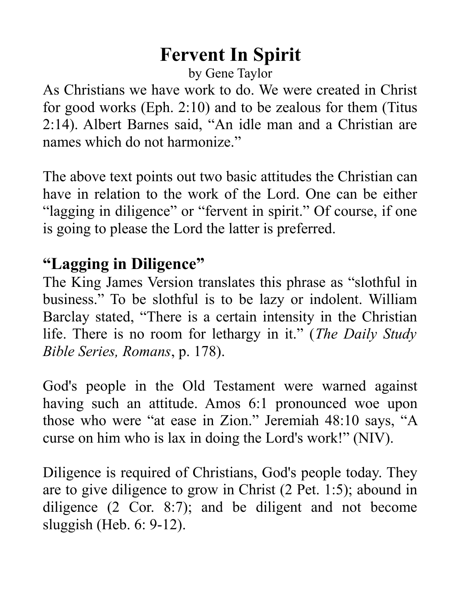## **Fervent In Spirit**

by Gene Taylor

As Christians we have work to do. We were created in Christ for good works (Eph. 2:10) and to be zealous for them (Titus 2:14). Albert Barnes said, "An idle man and a Christian are names which do not harmonize."

The above text points out two basic attitudes the Christian can have in relation to the work of the Lord. One can be either "lagging in diligence" or "fervent in spirit." Of course, if one is going to please the Lord the latter is preferred.

## **"Lagging in Diligence"**

The King James Version translates this phrase as "slothful in business." To be slothful is to be lazy or indolent. William Barclay stated, "There is a certain intensity in the Christian life. There is no room for lethargy in it." (*The Daily Study Bible Series, Romans*, p. 178).

God's people in the Old Testament were warned against having such an attitude. Amos 6:1 pronounced woe upon those who were "at ease in Zion." Jeremiah 48:10 says, "A curse on him who is lax in doing the Lord's work!" (NIV).

Diligence is required of Christians, God's people today. They are to give diligence to grow in Christ (2 Pet. 1:5); abound in diligence (2 Cor. 8:7); and be diligent and not become sluggish (Heb. 6: 9-12).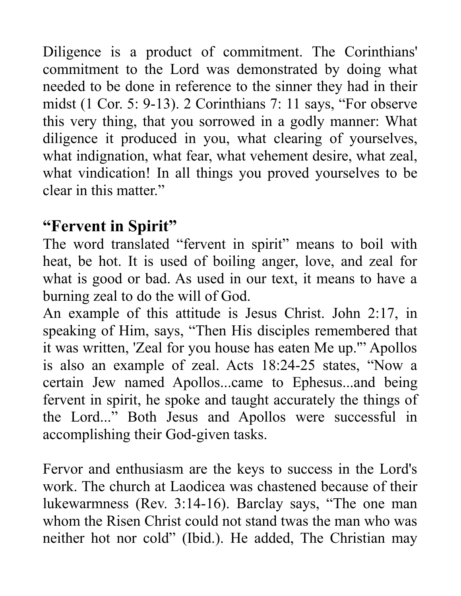Diligence is a product of commitment. The Corinthians' commitment to the Lord was demonstrated by doing what needed to be done in reference to the sinner they had in their midst (1 Cor. 5: 9-13). 2 Corinthians 7: 11 says, "For observe this very thing, that you sorrowed in a godly manner: What diligence it produced in you, what clearing of yourselves, what indignation, what fear, what vehement desire, what zeal, what vindication! In all things you proved yourselves to be clear in this matter."

## **"Fervent in Spirit"**

The word translated "fervent in spirit" means to boil with heat, be hot. It is used of boiling anger, love, and zeal for what is good or bad. As used in our text, it means to have a burning zeal to do the will of God.

An example of this attitude is Jesus Christ. John 2:17, in speaking of Him, says, "Then His disciples remembered that it was written, 'Zeal for you house has eaten Me up.'" Apollos is also an example of zeal. Acts 18:24-25 states, "Now a certain Jew named Apollos...came to Ephesus...and being fervent in spirit, he spoke and taught accurately the things of the Lord..." Both Jesus and Apollos were successful in accomplishing their God-given tasks.

Fervor and enthusiasm are the keys to success in the Lord's work. The church at Laodicea was chastened because of their lukewarmness (Rev. 3:14-16). Barclay says, "The one man whom the Risen Christ could not stand twas the man who was neither hot nor cold" (Ibid.). He added, The Christian may